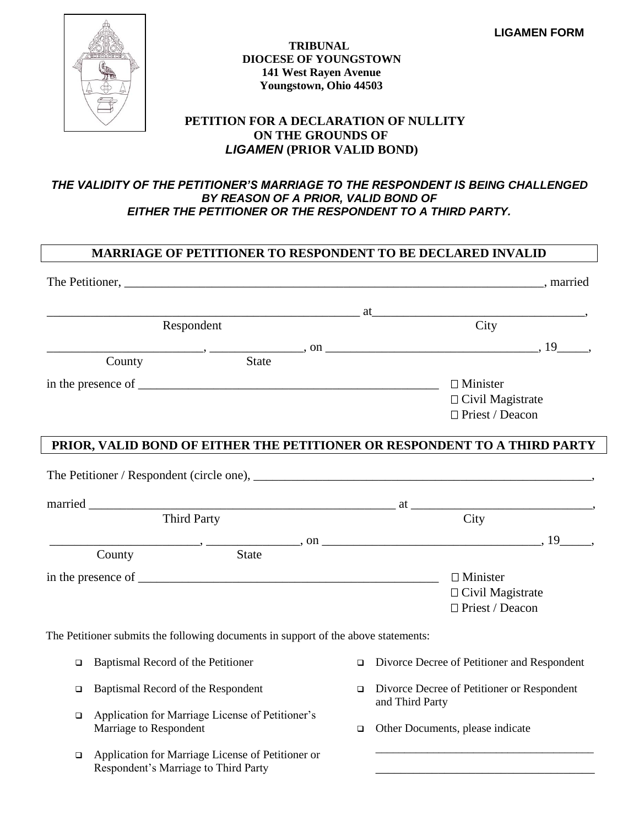

#### **TRIBUNAL DIOCESE OF YOUNGSTOWN 141 West Rayen Avenue Youngstown, Ohio 44503**

### **PETITION FOR A DECLARATION OF NULLITY ON THE GROUNDS OF** *LIGAMEN* **(PRIOR VALID BOND)**

#### *THE VALIDITY OF THE PETITIONER'S MARRIAGE TO THE RESPONDENT IS BEING CHALLENGED BY REASON OF A PRIOR, VALID BOND OF EITHER THE PETITIONER OR THE RESPONDENT TO A THIRD PARTY.*

#### **MARRIAGE OF PETITIONER TO RESPONDENT TO BE DECLARED INVALID**

|        | Respondent                                |                                                                                    |        |                 | City                                        |  |
|--------|-------------------------------------------|------------------------------------------------------------------------------------|--------|-----------------|---------------------------------------------|--|
|        |                                           |                                                                                    |        |                 |                                             |  |
|        | County                                    | State                                                                              |        |                 |                                             |  |
|        |                                           | in the presence of $\Box$ $\Box$ $\Box$ Minister                                   |        |                 |                                             |  |
|        |                                           |                                                                                    |        |                 | $\Box$ Civil Magistrate                     |  |
|        |                                           |                                                                                    |        |                 | □ Priest / Deacon                           |  |
|        |                                           | PRIOR, VALID BOND OF EITHER THE PETITIONER OR RESPONDENT TO A THIRD PARTY          |        |                 |                                             |  |
|        |                                           |                                                                                    |        |                 |                                             |  |
|        |                                           |                                                                                    |        |                 |                                             |  |
|        |                                           | $\overline{a}$ at $\overline{a}$                                                   |        |                 |                                             |  |
|        | Third Party                               |                                                                                    |        |                 | City                                        |  |
|        |                                           | $\frac{1}{2}$ , $\frac{19}{2}$ , $\frac{19}{2}$ , $\frac{19}{2}$                   |        |                 |                                             |  |
|        | County                                    | <b>State</b>                                                                       |        |                 |                                             |  |
|        |                                           |                                                                                    |        |                 | $\Box$ Minister                             |  |
|        |                                           |                                                                                    |        |                 | $\Box$ Civil Magistrate                     |  |
|        |                                           |                                                                                    |        |                 | $\Box$ Priest / Deacon                      |  |
|        |                                           | The Petitioner submits the following documents in support of the above statements: |        |                 |                                             |  |
|        | $\Box$ Baptismal Record of the Petitioner |                                                                                    | $\Box$ |                 | Divorce Decree of Petitioner and Respondent |  |
| $\Box$ | Baptismal Record of the Respondent        |                                                                                    | $\Box$ | and Third Party | Divorce Decree of Petitioner or Respondent  |  |
| $\Box$ |                                           | Application for Marriage License of Petitioner's                                   |        |                 |                                             |  |
|        | Marriage to Respondent                    |                                                                                    | $\Box$ |                 | Other Documents, please indicate            |  |
| $\Box$ |                                           | Application for Marriage License of Petitioner or                                  |        |                 |                                             |  |
|        | Respondent's Marriage to Third Party      |                                                                                    |        |                 |                                             |  |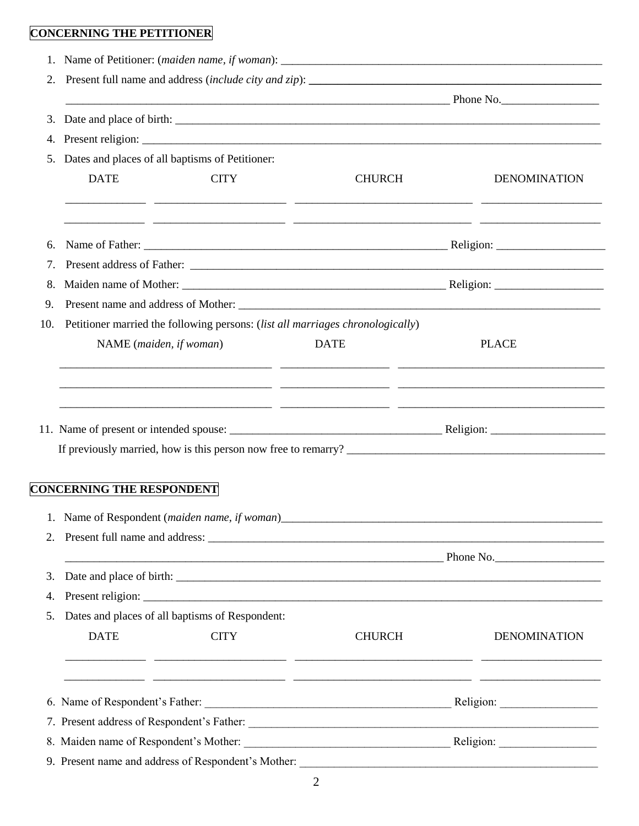# **CONCERNING THE PETITIONER**

| 2.             |                                                    |                                                                                |               |                     |  |  |
|----------------|----------------------------------------------------|--------------------------------------------------------------------------------|---------------|---------------------|--|--|
|                |                                                    |                                                                                |               |                     |  |  |
| 3.             |                                                    |                                                                                |               |                     |  |  |
|                |                                                    |                                                                                |               |                     |  |  |
|                | 5. Dates and places of all baptisms of Petitioner: |                                                                                |               |                     |  |  |
|                | <b>DATE</b>                                        | <b>CITY</b>                                                                    | <b>CHURCH</b> | <b>DENOMINATION</b> |  |  |
|                |                                                    |                                                                                |               |                     |  |  |
|                |                                                    |                                                                                |               |                     |  |  |
| 6.             |                                                    |                                                                                |               |                     |  |  |
| 7.             |                                                    |                                                                                |               |                     |  |  |
| 8.             |                                                    |                                                                                |               |                     |  |  |
| 9.             |                                                    |                                                                                |               |                     |  |  |
| 10.            |                                                    | Petitioner married the following persons: (list all marriages chronologically) |               |                     |  |  |
|                | NAME (maiden, if woman)                            |                                                                                | <b>DATE</b>   | <b>PLACE</b>        |  |  |
|                |                                                    |                                                                                |               |                     |  |  |
|                |                                                    |                                                                                |               |                     |  |  |
|                |                                                    |                                                                                |               |                     |  |  |
|                |                                                    |                                                                                |               |                     |  |  |
|                | <b>CONCERNING THE RESPONDENT</b>                   |                                                                                |               |                     |  |  |
|                |                                                    | 1. Name of Respondent (maiden name, if woman)_                                 |               |                     |  |  |
|                |                                                    |                                                                                |               |                     |  |  |
|                |                                                    |                                                                                | $P$ hone No.  |                     |  |  |
|                |                                                    |                                                                                |               |                     |  |  |
| 2.<br>3.<br>4. |                                                    |                                                                                |               |                     |  |  |
| 5.             |                                                    | Dates and places of all baptisms of Respondent:                                |               |                     |  |  |
|                | <b>DATE</b>                                        | <b>CITY</b>                                                                    | <b>CHURCH</b> |                     |  |  |
|                |                                                    |                                                                                |               |                     |  |  |
|                |                                                    |                                                                                |               |                     |  |  |
|                |                                                    |                                                                                |               |                     |  |  |
|                |                                                    |                                                                                |               |                     |  |  |
|                |                                                    |                                                                                |               | <b>DENOMINATION</b> |  |  |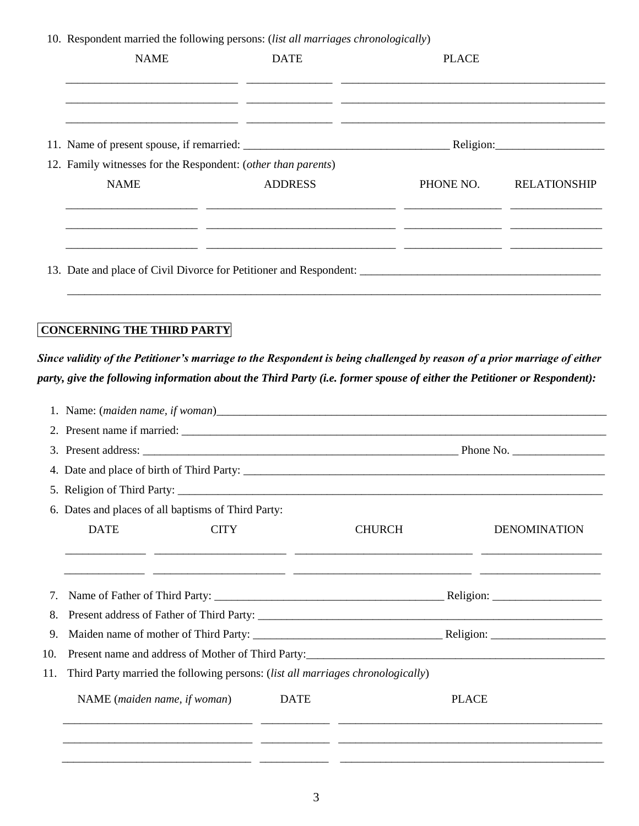10. Respondent married the following persons: (*list all marriages chronologically*)

| <b>NAME</b>                                                   | <b>DATE</b>    | <b>PLACE</b> |                     |
|---------------------------------------------------------------|----------------|--------------|---------------------|
|                                                               |                |              |                     |
|                                                               |                |              | Religion: Religion: |
| 12. Family witnesses for the Respondent: (other than parents) |                |              |                     |
| <b>NAME</b>                                                   | <b>ADDRESS</b> | PHONE NO.    | <b>RELATIONSHIP</b> |
|                                                               |                |              |                     |
|                                                               |                |              |                     |

## **CONCERNING THE THIRD PARTY**

*Since validity of the Petitioner's marriage to the Respondent is being challenged by reason of a prior marriage of either party, give the following information about the Third Party (i.e. former spouse of either the Petitioner or Respondent):*

|     | 6. Dates and places of all baptisms of Third Party:                             |             |               |                     |  |
|-----|---------------------------------------------------------------------------------|-------------|---------------|---------------------|--|
|     | <b>DATE</b>                                                                     | <b>CITY</b> | <b>CHURCH</b> | <b>DENOMINATION</b> |  |
| 8.  |                                                                                 |             |               |                     |  |
| 9.  |                                                                                 |             |               |                     |  |
| 10. |                                                                                 |             |               |                     |  |
| 11. | Third Party married the following persons: (list all marriages chronologically) |             |               |                     |  |
|     | NAME (maiden name, if woman)                                                    | <b>DATE</b> |               | <b>PLACE</b>        |  |
|     |                                                                                 |             |               |                     |  |